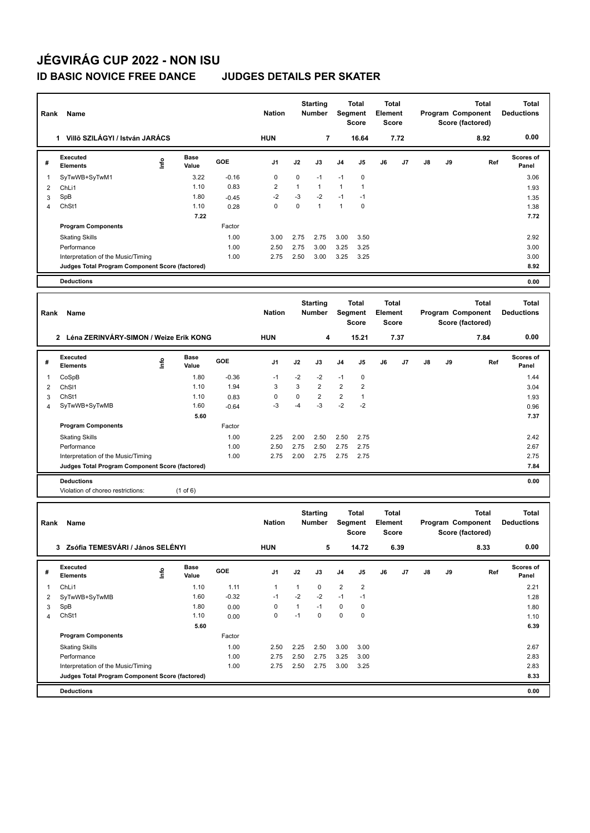# **JÉGVIRÁG CUP 2022 - NON ISU**

### **ID BASIC NOVICE FREE DANCE JUDGES DETAILS PER SKATER**

| Name<br>Rank   |                                                                                       |                                  |               |              | <b>Nation</b>  |              | <b>Starting</b><br>Total<br><b>Number</b><br>Segment<br><b>Score</b> |                |                                  | <b>Total</b><br><b>Element</b><br><b>Score</b> |                       | Program Component |    | <b>Total</b><br>Score (factored)                      | <b>Total</b><br><b>Deductions</b> |
|----------------|---------------------------------------------------------------------------------------|----------------------------------|---------------|--------------|----------------|--------------|----------------------------------------------------------------------|----------------|----------------------------------|------------------------------------------------|-----------------------|-------------------|----|-------------------------------------------------------|-----------------------------------|
|                | 1 Villő SZILÁGYI / István JARÁCS                                                      |                                  |               |              | <b>HUN</b>     |              | 7                                                                    |                | 16.64                            |                                                | 7.72                  |                   |    | 8.92                                                  | 0.00                              |
| #              | <b>Executed</b><br><b>Elements</b>                                                    | lnfo                             | Base<br>Value | GOE          | J1             | J2           | J3                                                                   | J4             | J5                               | J6                                             | J7                    | J8                | J9 | Ref                                                   | Scores of<br>Panel                |
| $\mathbf{1}$   | SyTwWB+SyTwM1                                                                         |                                  | 3.22          | $-0.16$      | 0              | $\mathbf 0$  | $-1$                                                                 | $-1$           | 0                                |                                                |                       |                   |    |                                                       | 3.06                              |
| $\overline{2}$ | ChLi1                                                                                 |                                  | 1.10          | 0.83         | $\overline{2}$ | $\mathbf{1}$ | $\mathbf{1}$                                                         | $\mathbf{1}$   | $\mathbf{1}$                     |                                                |                       |                   |    |                                                       | 1.93                              |
| 3              | SpB                                                                                   |                                  | 1.80          | $-0.45$      | $-2$           | -3           | $-2$                                                                 | $-1$           | $-1$                             |                                                |                       |                   |    |                                                       | 1.35                              |
| $\overline{4}$ | ChSt1                                                                                 |                                  | 1.10          | 0.28         | 0              | $\mathbf 0$  | $\mathbf{1}$                                                         | $\mathbf{1}$   | $\mathbf 0$                      |                                                |                       |                   |    |                                                       | 1.38                              |
|                |                                                                                       |                                  | 7.22          |              |                |              |                                                                      |                |                                  |                                                |                       |                   |    |                                                       | 7.72                              |
|                | <b>Program Components</b>                                                             |                                  |               | Factor       |                |              |                                                                      |                |                                  |                                                |                       |                   |    |                                                       |                                   |
|                | <b>Skating Skills</b>                                                                 |                                  |               | 1.00         | 3.00           | 2.75         | 2.75                                                                 | 3.00           | 3.50                             |                                                |                       |                   |    |                                                       | 2.92                              |
|                | Performance<br>Interpretation of the Music/Timing                                     |                                  |               | 1.00<br>1.00 | 2.50<br>2.75   | 2.75<br>2.50 | 3.00<br>3.00                                                         | 3.25<br>3.25   | 3.25<br>3.25                     |                                                |                       |                   |    |                                                       | 3.00<br>3.00                      |
|                | Judges Total Program Component Score (factored)                                       |                                  |               |              |                |              |                                                                      |                |                                  |                                                |                       |                   |    |                                                       | 8.92                              |
|                | <b>Deductions</b>                                                                     |                                  |               |              |                |              |                                                                      |                |                                  |                                                |                       |                   |    |                                                       | 0.00                              |
|                |                                                                                       |                                  |               |              |                |              |                                                                      |                |                                  |                                                |                       |                   |    |                                                       |                                   |
| Rank           | <b>Name</b>                                                                           |                                  |               |              | <b>Nation</b>  |              | <b>Starting</b><br>Number                                            |                | Total<br>Segment<br><b>Score</b> | Element                                        | <b>Total</b><br>Score |                   |    | <b>Total</b><br>Program Component<br>Score (factored) | <b>Total</b><br><b>Deductions</b> |
|                | 2 Léna ZERINVÁRY-SIMON / Weize Erik KONG                                              |                                  |               |              | <b>HUN</b>     |              | 4                                                                    |                | 15.21                            |                                                | 7.37                  |                   |    | 7.84                                                  | 0.00                              |
| #              | <b>Executed</b><br><b>Elements</b>                                                    | ١nf٥                             | Base<br>Value | GOE          | J1             | J2           | J3                                                                   | J4             | J5                               | J6                                             | J7                    | J8                | J9 | Ref                                                   | Scores of<br>Panel                |
| 1              | CoSpB                                                                                 |                                  | 1.80          | $-0.36$      | $-1$           | $-2$         | -2                                                                   | $-1$           | $\pmb{0}$                        |                                                |                       |                   |    |                                                       | 1.44                              |
| $\overline{2}$ | ChS <sub>11</sub>                                                                     |                                  | 1.10          | 1.94         | 3              | $\mathbf{3}$ | 2                                                                    | $\overline{2}$ | $\overline{2}$                   |                                                |                       |                   |    |                                                       | 3.04                              |
| 3              | ChSt1                                                                                 |                                  | 1.10          | 0.83         | 0              | $\pmb{0}$    | 2                                                                    | $\overline{2}$ | $\mathbf{1}$                     |                                                |                       |                   |    |                                                       | 1.93                              |
| 4              | SyTwWB+SyTwMB                                                                         |                                  | 1.60          | $-0.64$      | $-3$           | -4           | -3                                                                   | $-2$           | $-2$                             |                                                |                       |                   |    |                                                       | 0.96                              |
|                |                                                                                       |                                  | 5.60          |              |                |              |                                                                      |                |                                  |                                                |                       |                   |    |                                                       | 7.37                              |
|                | <b>Program Components</b>                                                             |                                  |               | Factor       |                |              |                                                                      |                |                                  |                                                |                       |                   |    |                                                       |                                   |
|                | <b>Skating Skills</b>                                                                 |                                  |               | 1.00         | 2.25           | 2.00         | 2.50                                                                 | 2.50           | 2.75                             |                                                |                       |                   |    |                                                       | 2.42                              |
|                | Performance                                                                           |                                  |               | 1.00         | 2.50           | 2.75         | 2.50                                                                 | 2.75           | 2.75                             |                                                |                       |                   |    |                                                       | 2.67                              |
|                | Interpretation of the Music/Timing                                                    |                                  |               | 1.00         | 2.75           | 2.00         | 2.75                                                                 | 2.75           | 2.75                             |                                                |                       |                   |    |                                                       | 2.75                              |
|                | Judges Total Program Component Score (factored)                                       |                                  |               |              |                |              |                                                                      |                |                                  |                                                |                       |                   |    |                                                       | 7.84                              |
|                | <b>Deductions</b>                                                                     |                                  |               |              |                |              |                                                                      |                |                                  |                                                |                       |                   |    |                                                       | 0.00                              |
|                | Violation of choreo restrictions:                                                     |                                  | $(1$ of $6)$  |              |                |              |                                                                      |                |                                  |                                                |                       |                   |    |                                                       |                                   |
| Rank           | Name                                                                                  |                                  |               |              | <b>Nation</b>  |              | <b>Starting</b><br><b>Number</b>                                     |                | Total<br>Segment<br><b>Score</b> | Element                                        | <b>Total</b><br>Score |                   |    | <b>Total</b><br>Program Component<br>Score (factored) | <b>Total</b><br><b>Deductions</b> |
|                | 3 Zsófia TEMESVÁRI / János SELÉNYI                                                    |                                  |               |              | <b>HUN</b>     |              | 5                                                                    |                | 14.72                            |                                                | 6.39                  |                   |    | 8.33                                                  | 0.00                              |
| #              | Executed<br><b>Elements</b>                                                           | $\mathop{\mathsf{Int}}\nolimits$ | Base<br>Value | GOE          | J1             | J2           | J3                                                                   | J4             | J5                               | J6                                             | J7                    | J8                | J9 | Ref                                                   | Scores of<br>Panel                |
| $\mathbf{1}$   | ChLi1                                                                                 |                                  | 1.10          | 1.11         | $\mathbf{1}$   | $\mathbf{1}$ | 0                                                                    | $\overline{2}$ | $\overline{2}$                   |                                                |                       |                   |    |                                                       | 2.21                              |
| $\overline{2}$ | SyTwWB+SyTwMB                                                                         |                                  | 1.60          | $-0.32$      | $-1$           | $-2$         | $-2$                                                                 | $-1$           | $-1$                             |                                                |                       |                   |    |                                                       | 1.28                              |
| 3              | SpB                                                                                   |                                  | 1.80          | 0.00         | 0              | $\mathbf{1}$ | $-1$                                                                 | $\mathbf 0$    | $\pmb{0}$                        |                                                |                       |                   |    |                                                       | 1.80                              |
| $\overline{4}$ | ChSt1                                                                                 |                                  | 1.10          | 0.00         | 0              | $-1$         | $\mathbf 0$                                                          | $\mathbf 0$    | $\pmb{0}$                        |                                                |                       |                   |    |                                                       | 1.10                              |
|                |                                                                                       |                                  | 5.60          |              |                |              |                                                                      |                |                                  |                                                |                       |                   |    |                                                       | 6.39                              |
|                | <b>Program Components</b>                                                             |                                  |               | Factor       |                |              |                                                                      |                |                                  |                                                |                       |                   |    |                                                       |                                   |
|                | <b>Skating Skills</b>                                                                 |                                  |               | 1.00         | 2.50           | 2.25         | 2.50                                                                 | 3.00           | 3.00                             |                                                |                       |                   |    |                                                       | 2.67                              |
|                | Performance                                                                           |                                  |               | 1.00         | 2.75           | 2.50         | 2.75                                                                 | 3.25           | 3.00                             |                                                |                       |                   |    |                                                       | 2.83                              |
|                | Interpretation of the Music/Timing<br>Judges Total Program Component Score (factored) |                                  |               | 1.00         | 2.75           | 2.50         | 2.75                                                                 | 3.00           | 3.25                             |                                                |                       |                   |    |                                                       | 2.83<br>8.33                      |
|                |                                                                                       |                                  |               |              |                |              |                                                                      |                |                                  |                                                |                       |                   |    |                                                       |                                   |
|                | <b>Deductions</b>                                                                     |                                  |               |              |                |              |                                                                      |                |                                  |                                                |                       |                   |    |                                                       | 0.00                              |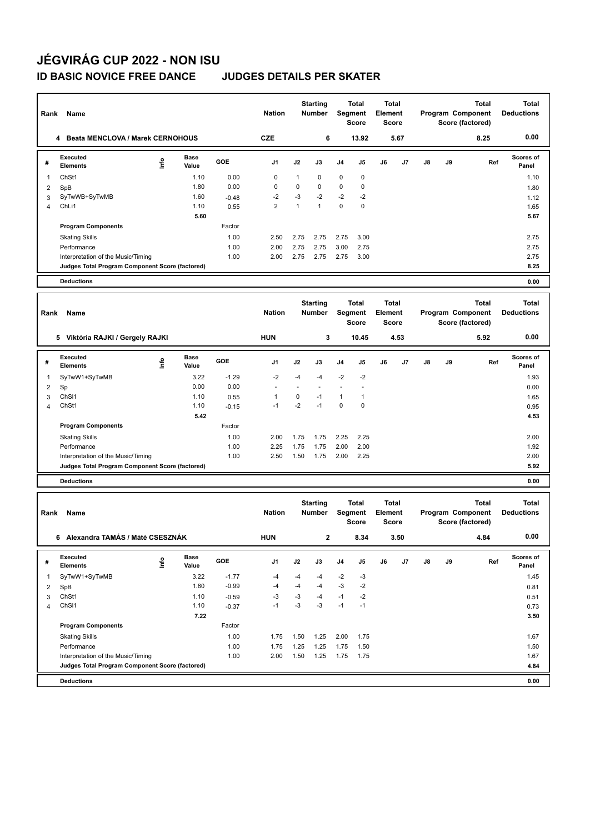## **JÉGVIRÁG CUP 2022 - NON ISU**

### **ID BASIC NOVICE FREE DANCE JUDGES DETAILS PER SKATER**

| Name<br>Rank        |                                                 |             |               |                    |                | <b>Starting</b><br>Number |                           | Total<br>Segment<br><b>Score</b> |                           | <b>Total</b><br><b>Element</b><br><b>Score</b> |                       | Program Component<br>Score (factored) |    | <b>Total</b>                                          | <b>Total</b><br><b>Deductions</b> |
|---------------------|-------------------------------------------------|-------------|---------------|--------------------|----------------|---------------------------|---------------------------|----------------------------------|---------------------------|------------------------------------------------|-----------------------|---------------------------------------|----|-------------------------------------------------------|-----------------------------------|
|                     | 4 Beata MENCLOVA / Marek CERNOHOUS              |             |               |                    | <b>CZE</b>     |                           | 6                         |                                  | 13.92                     |                                                | 5.67                  |                                       |    | 8.25                                                  | 0.00                              |
| #                   | <b>Executed</b><br><b>Elements</b>              | ١nf٥        | Base<br>Value | GOE                | J1             | J2                        | J3                        | J <sub>4</sub>                   | J5                        | J6                                             | J7                    | J8                                    | J9 | Ref                                                   | Scores of<br>Panel                |
| $\mathbf{1}$        | ChSt1                                           |             | 1.10          | 0.00               | 0              | 1                         | 0                         | 0                                | 0                         |                                                |                       |                                       |    |                                                       | 1.10                              |
| 2                   | SpB                                             |             | 1.80          | 0.00               | 0              | 0                         | 0                         | $\pmb{0}$                        | $\mathbf 0$               |                                                |                       |                                       |    |                                                       | 1.80                              |
| 3                   | SyTwWB+SyTwMB                                   |             | 1.60          | $-0.48$            | -2             | -3                        | $-2$                      | $-2$                             | $-2$                      |                                                |                       |                                       |    |                                                       | 1.12                              |
| $\overline{4}$      | ChL <sub>i1</sub>                               |             | 1.10          | 0.55               | $\overline{2}$ | $\mathbf{1}$              | $\mathbf{1}$              | $\mathbf 0$                      | 0                         |                                                |                       |                                       |    |                                                       | 1.65                              |
|                     | <b>Program Components</b>                       |             | 5.60          | Factor             |                |                           |                           |                                  |                           |                                                |                       |                                       |    |                                                       | 5.67                              |
|                     | <b>Skating Skills</b>                           |             |               | 1.00               | 2.50           | 2.75                      | 2.75                      | 2.75                             | 3.00                      |                                                |                       |                                       |    |                                                       | 2.75                              |
|                     | Performance                                     |             |               | 1.00               | 2.00           | 2.75                      | 2.75                      | 3.00                             | 2.75                      |                                                |                       |                                       |    |                                                       | 2.75                              |
|                     | Interpretation of the Music/Timing              |             |               | 1.00               | 2.00           | 2.75                      | 2.75                      | 2.75                             | 3.00                      |                                                |                       |                                       |    |                                                       | 2.75                              |
|                     | Judges Total Program Component Score (factored) |             |               |                    |                |                           |                           |                                  |                           |                                                |                       |                                       |    |                                                       | 8.25                              |
|                     | <b>Deductions</b>                               |             |               |                    |                |                           |                           |                                  |                           |                                                |                       |                                       |    |                                                       | 0.00                              |
|                     |                                                 |             |               |                    |                |                           |                           |                                  |                           |                                                |                       |                                       |    |                                                       |                                   |
| Rank                | Name                                            |             |               |                    | <b>Nation</b>  |                           | <b>Starting</b><br>Number |                                  | Total<br>Segment<br>Score | <b>Element</b>                                 | Total<br><b>Score</b> |                                       |    | <b>Total</b><br>Program Component<br>Score (factored) | <b>Total</b><br><b>Deductions</b> |
|                     | 5 Viktória RAJKI / Gergely RAJKI                |             |               |                    | <b>HUN</b>     |                           | 3                         |                                  | 10.45                     |                                                | 4.53                  |                                       |    | 5.92                                                  | 0.00                              |
| #                   | <b>Executed</b><br><b>Elements</b>              | lnfo        | Base<br>Value | GOE                | J1             | J2                        | J3                        | J <sub>4</sub>                   | J5                        | J6                                             | J7                    | J8                                    | J9 | Ref                                                   | <b>Scores of</b><br>Panel         |
| 1                   | SyTwW1+SyTwMB                                   |             | 3.22          | $-1.29$            | -2             | -4                        | $-4$                      | $-2$                             | -2                        |                                                |                       |                                       |    |                                                       | 1.93                              |
| 2                   | Sp                                              |             | 0.00          | 0.00               | ٠              | ÷,                        |                           | ÷                                | ÷,                        |                                                |                       |                                       |    |                                                       | 0.00                              |
| 3                   | ChS <sub>11</sub>                               |             | 1.10          | 0.55               | 1              | $\pmb{0}$                 | $-1$                      | $\mathbf{1}$                     | 1                         |                                                |                       |                                       |    |                                                       | 1.65                              |
| 4                   | ChSt1                                           |             | 1.10          | $-0.15$            | $-1$           | $-2$                      | $-1$                      | 0                                | $\pmb{0}$                 |                                                |                       |                                       |    |                                                       | 0.95                              |
|                     | <b>Program Components</b>                       |             | 5.42          | Factor             |                |                           |                           |                                  |                           |                                                |                       |                                       |    |                                                       | 4.53                              |
|                     | <b>Skating Skills</b>                           |             |               | 1.00               | 2.00           | 1.75                      | 1.75                      | 2.25                             | 2.25                      |                                                |                       |                                       |    |                                                       | 2.00                              |
|                     | Performance                                     |             |               | 1.00               | 2.25           | 1.75                      | 1.75                      | 2.00                             | 2.00                      |                                                |                       |                                       |    |                                                       | 1.92                              |
|                     | Interpretation of the Music/Timing              |             |               | 1.00               | 2.50           | 1.50                      | 1.75                      | 2.00                             | 2.25                      |                                                |                       |                                       |    |                                                       | 2.00                              |
|                     | Judges Total Program Component Score (factored) |             |               |                    |                |                           |                           |                                  |                           |                                                |                       |                                       |    |                                                       | 5.92                              |
|                     | <b>Deductions</b>                               |             |               |                    |                |                           |                           |                                  |                           |                                                |                       |                                       |    |                                                       | 0.00                              |
|                     |                                                 |             |               |                    |                | <b>Starting</b>           |                           | <b>Total</b>                     |                           | <b>Total</b>                                   |                       | <b>Total</b>                          |    |                                                       | <b>Total</b>                      |
| Rank                | Name                                            |             |               |                    | <b>Nation</b>  |                           | <b>Number</b>             | <b>Segment</b>                   | <b>Score</b>              | Element                                        | <b>Score</b>          |                                       |    | Program Component<br>Score (factored)                 | <b>Deductions</b>                 |
|                     | Alexandra TAMÁS / Máté CSESZNÁK<br>6            |             |               |                    | HUN            |                           | 2                         |                                  | 8.34                      |                                                | 3.50                  |                                       |    | 4.84                                                  | 0.00                              |
| #                   | Executed                                        | <u>info</u> | Base          | GOE                | J1             | J2                        | J3                        | J4                               | J5                        | J6                                             | J7                    | J8                                    | J9 | Ref                                                   | Scores of                         |
|                     | <b>Elements</b>                                 |             | Value         |                    |                |                           |                           |                                  |                           |                                                |                       |                                       |    |                                                       | Panel                             |
| $\mathbf{1}$        | SyTwW1+SyTwMB                                   |             | 3.22<br>1.80  | $-1.77$<br>$-0.99$ | -4<br>$-4$     | -4<br>$-4$                | $-4$<br>$-4$              | $-2$<br>$-3$                     | $-3$<br>$-2$              |                                                |                       |                                       |    |                                                       | 1.45                              |
| $\overline{2}$<br>3 | SpB<br>ChSt1                                    |             | 1.10          | $-0.59$            | -3             | $-3$                      | $-4$                      | $-1$                             | $-2$                      |                                                |                       |                                       |    |                                                       | 0.81<br>0.51                      |
| $\overline{4}$      | ChS <sub>11</sub>                               |             | 1.10          | $-0.37$            | $-1$           | $-3$                      | $-3$                      | $-1$                             | $-1$                      |                                                |                       |                                       |    |                                                       | 0.73                              |
|                     |                                                 |             | 7.22          |                    |                |                           |                           |                                  |                           |                                                |                       |                                       |    |                                                       | 3.50                              |
|                     | <b>Program Components</b>                       |             |               | Factor             |                |                           |                           |                                  |                           |                                                |                       |                                       |    |                                                       |                                   |
|                     | <b>Skating Skills</b>                           |             |               | 1.00               | 1.75           | 1.50                      | 1.25                      | 2.00                             | 1.75                      |                                                |                       |                                       |    |                                                       | 1.67                              |
|                     | Performance                                     |             |               | 1.00               | 1.75           | 1.25                      | 1.25                      | 1.75                             | 1.50                      |                                                |                       |                                       |    |                                                       | 1.50                              |
|                     | Interpretation of the Music/Timing              |             |               | 1.00               | 2.00           | 1.50                      | 1.25                      | 1.75                             | 1.75                      |                                                |                       |                                       |    |                                                       | 1.67                              |
|                     | Judges Total Program Component Score (factored) |             |               |                    |                |                           |                           |                                  |                           |                                                |                       |                                       |    |                                                       | 4.84                              |
|                     | <b>Deductions</b>                               |             |               |                    |                |                           |                           |                                  |                           |                                                |                       |                                       |    |                                                       | 0.00                              |